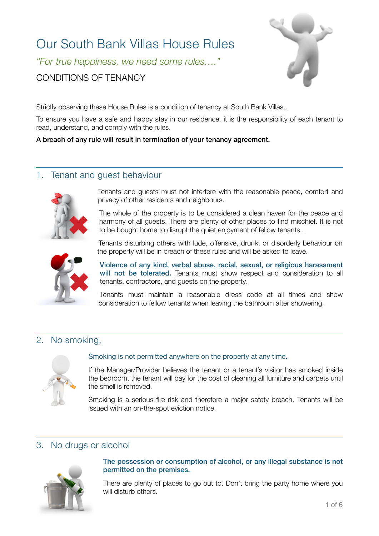# Our South Bank Villas House Rules

*"For true happiness, we need some rules…."* 

CONDITIONS OF TENANCY



Strictly observing these House Rules is a condition of tenancy at South Bank Villas..

To ensure you have a safe and happy stay in our residence, it is the responsibility of each tenant to read, understand, and comply with the rules.

A breach of any rule will result in termination of your tenancy agreement.

## 1. Tenant and guest behaviour



Tenants and guests must not interfere with the reasonable peace, comfort and privacy of other residents and neighbours.

The whole of the property is to be considered a clean haven for the peace and harmony of all guests. There are plenty of other places to find mischief. It is not to be bought home to disrupt the quiet enjoyment of fellow tenants..



Tenants disturbing others with lude, offensive, drunk, or disorderly behaviour on the property will be in breach of these rules and will be asked to leave.

Violence of any kind, verbal abuse, racial, sexual, or religious harassment will not be tolerated. Tenants must show respect and consideration to all tenants, contractors, and guests on the property.

Tenants must maintain a reasonable dress code at all times and show consideration to fellow tenants when leaving the bathroom after showering.

# 2. No smoking,



#### Smoking is not permitted anywhere on the property at any time.

If the Manager/Provider believes the tenant or a tenant's visitor has smoked inside the bedroom, the tenant will pay for the cost of cleaning all furniture and carpets until the smell is removed.

Smoking is a serious fire risk and therefore a major safety breach. Tenants will be issued with an on-the-spot eviction notice.

# 3. No drugs or alcohol



#### The possession or consumption of alcohol, or any illegal substance is not permitted on the premises.

There are plenty of places to go out to. Don't bring the party home where you will disturb others.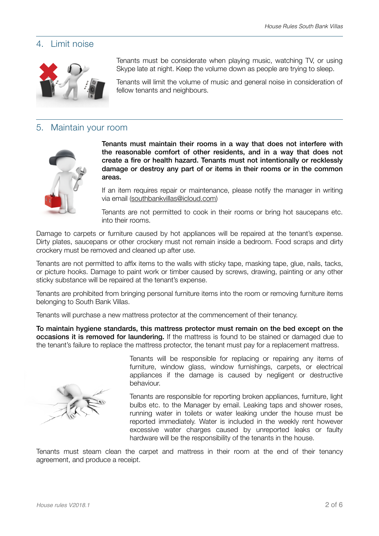#### 4. Limit noise



5. Maintain your room



Tenants must maintain their rooms in a way that does not interfere with the reasonable comfort of other residents, and in a way that does not create a fire or health hazard. Tenants must not intentionally or recklessly damage or destroy any part of or items in their rooms or in the common areas.

Tenants must be considerate when playing music, watching TV, or using Skype late at night. Keep the volume down as people are trying to sleep.

Tenants will limit the volume of music and general noise in consideration of

If an item requires repair or maintenance, please notify the manager in writing via email [\(southbankvillas@icloud.com](mailto:southbankvillas@icloud.com))

Tenants are not permitted to cook in their rooms or bring hot saucepans etc. into their rooms.

Damage to carpets or furniture caused by hot appliances will be repaired at the tenant's expense. Dirty plates, saucepans or other crockery must not remain inside a bedroom. Food scraps and dirty crockery must be removed and cleaned up after use.

Tenants are not permitted to affix items to the walls with sticky tape, masking tape, glue, nails, tacks, or picture hooks. Damage to paint work or timber caused by screws, drawing, painting or any other sticky substance will be repaired at the tenant's expense.

Tenants are prohibited from bringing personal furniture items into the room or removing furniture items belonging to South Bank Villas.

Tenants will purchase a new mattress protector at the commencement of their tenancy.

fellow tenants and neighbours.

To maintain hygiene standards, this mattress protector must remain on the bed except on the occasions it is removed for laundering. If the mattress is found to be stained or damaged due to the tenant's failure to replace the mattress protector, the tenant must pay for a replacement mattress.



Tenants will be responsible for replacing or repairing any items of furniture, window glass, window furnishings, carpets, or electrical appliances if the damage is caused by negligent or destructive behaviour.

Tenants are responsible for reporting broken appliances, furniture, light bulbs etc. to the Manager by email. Leaking taps and shower roses, running water in toilets or water leaking under the house must be reported immediately. Water is included in the weekly rent however excessive water charges caused by unreported leaks or faulty hardware will be the responsibility of the tenants in the house.

Tenants must steam clean the carpet and mattress in their room at the end of their tenancy agreement, and produce a receipt.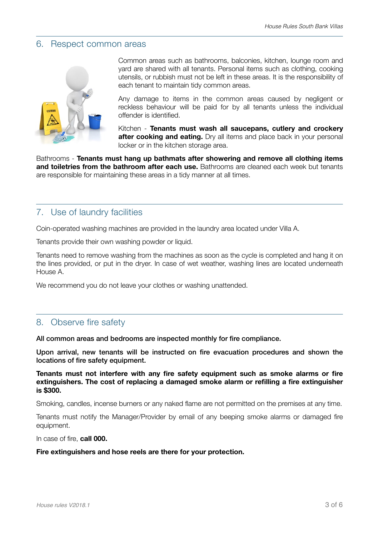#### 6. Respect common areas



Common areas such as bathrooms, balconies, kitchen, lounge room and yard are shared with all tenants. Personal items such as clothing, cooking utensils, or rubbish must not be left in these areas. It is the responsibility of each tenant to maintain tidy common areas.

Any damage to items in the common areas caused by negligent or reckless behaviour will be paid for by all tenants unless the individual offender is identified.

Kitchen - **Tenants must wash all saucepans, cutlery and crockery after cooking and eating.** Dry all items and place back in your personal locker or in the kitchen storage area.

Bathrooms - **Tenants must hang up bathmats after showering and remove all clothing items and toiletries from the bathroom after each use.** Bathrooms are cleaned each week but tenants are responsible for maintaining these areas in a tidy manner at all times.

#### 7. Use of laundry facilities

Coin-operated washing machines are provided in the laundry area located under Villa A.

Tenants provide their own washing powder or liquid.

Tenants need to remove washing from the machines as soon as the cycle is completed and hang it on the lines provided, or put in the dryer. In case of wet weather, washing lines are located underneath House A.

We recommend you do not leave your clothes or washing unattended.

#### 8. Observe fire safety

All common areas and bedrooms are inspected monthly for fire compliance.

Upon arrival, new tenants will be instructed on fire evacuation procedures and shown the locations of fire safety equipment.

#### **Tenants must not interfere with any fire safety equipment such as smoke alarms or fire extinguishers. The cost of replacing a damaged smoke alarm or refilling a fire extinguisher is \$300.**

Smoking, candles, incense burners or any naked flame are not permitted on the premises at any time.

Tenants must notify the Manager/Provider by email of any beeping smoke alarms or damaged fire equipment.

In case of fire, **call 000.** 

#### **Fire extinguishers and hose reels are there for your protection.**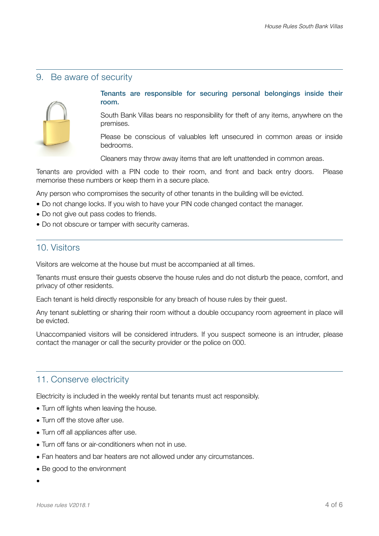## 9. Be aware of security



#### Tenants are responsible for securing personal belongings inside their room.

South Bank Villas bears no responsibility for theft of any items, anywhere on the premises.

Please be conscious of valuables left unsecured in common areas or inside bedrooms.

Cleaners may throw away items that are left unattended in common areas.

Tenants are provided with a PIN code to their room, and front and back entry doors. Please memorise these numbers or keep them in a secure place.

Any person who compromises the security of other tenants in the building will be evicted.

- Do not change locks. If you wish to have your PIN code changed contact the manager.
- Do not give out pass codes to friends.
- Do not obscure or tamper with security cameras.

## 10. Visitors

Visitors are welcome at the house but must be accompanied at all times.

Tenants must ensure their guests observe the house rules and do not disturb the peace, comfort, and privacy of other residents.

Each tenant is held directly responsible for any breach of house rules by their guest.

Any tenant subletting or sharing their room without a double occupancy room agreement in place will be evicted.

Unaccompanied visitors will be considered intruders. If you suspect someone is an intruder, please contact the manager or call the security provider or the police on 000.

#### 11. Conserve electricity

Electricity is included in the weekly rental but tenants must act responsibly.

- Turn off lights when leaving the house.
- Turn off the stove after use.
- Turn off all appliances after use.
- Turn off fans or air-conditioners when not in use.
- Fan heaters and bar heaters are not allowed under any circumstances.
- Be good to the environment
- •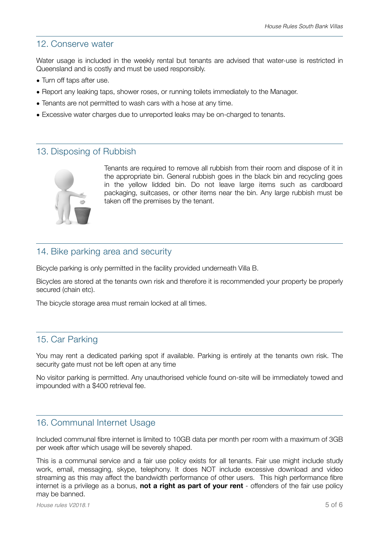# 12. Conserve water

Water usage is included in the weekly rental but tenants are advised that water-use is restricted in Queensland and is costly and must be used responsibly.

- Turn off taps after use.
- Report any leaking taps, shower roses, or running toilets immediately to the Manager.
- Tenants are not permitted to wash cars with a hose at any time.
- Excessive water charges due to unreported leaks may be on-charged to tenants.

## 13. Disposing of Rubbish



Tenants are required to remove all rubbish from their room and dispose of it in the appropriate bin. General rubbish goes in the black bin and recycling goes in the yellow lidded bin. Do not leave large items such as cardboard packaging, suitcases, or other items near the bin. Any large rubbish must be taken off the premises by the tenant.

# 14. Bike parking area and security

Bicycle parking is only permitted in the facility provided underneath Villa B.

Bicycles are stored at the tenants own risk and therefore it is recommended your property be properly secured (chain etc).

The bicycle storage area must remain locked at all times.

## 15. Car Parking

You may rent a dedicated parking spot if available. Parking is entirely at the tenants own risk. The security gate must not be left open at any time

No visitor parking is permitted. Any unauthorised vehicle found on-site will be immediately towed and impounded with a \$400 retrieval fee.

#### 16. Communal Internet Usage

Included communal fibre internet is limited to 10GB data per month per room with a maximum of 3GB per week after which usage will be severely shaped.

This is a communal service and a fair use policy exists for all tenants. Fair use might include study work, email, messaging, skype, telephony. It does NOT include excessive download and video streaming as this may affect the bandwidth performance of other users. This high performance fibre internet is a privilege as a bonus, **not a right as part of your rent** - offenders of the fair use policy may be banned.